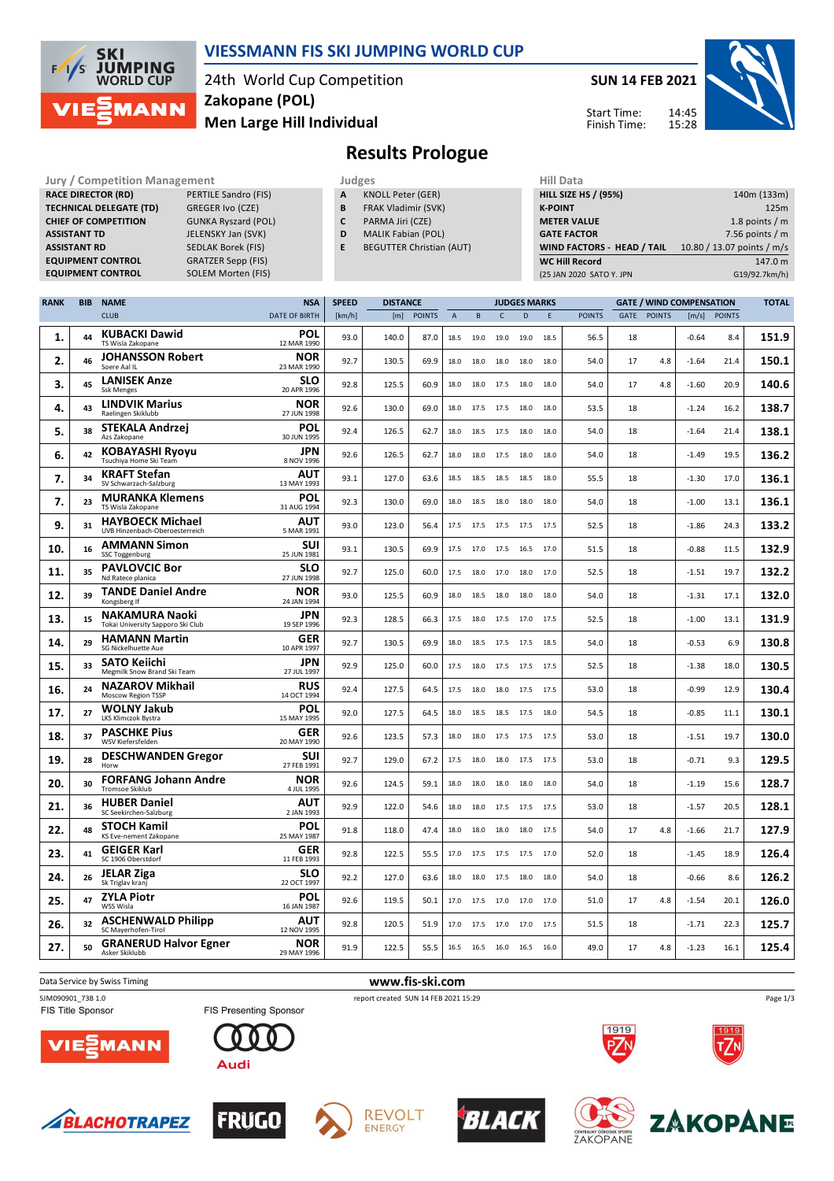

## **VIESSMANN FIS SKI JUMPING WORLD CUP**

24th World Cup Competition **Men Large Hill Individual Zakopane (POL)**

**SUN 14 FEB 2021**

14:45 15:28



Start Time: Finish Time:

# **Results Prologue**

| <b>JULY / CONTREGRION IVIGHAGEMENT</b> |                            |
|----------------------------------------|----------------------------|
| <b>RACE DIRECTOR (RD)</b>              | PERTILE Sandro (FIS)       |
| <b>TECHNICAL DELEGATE (TD)</b>         | <b>GREGER Ivo (CZE)</b>    |
| <b>CHIEF OF COMPETITION</b>            | <b>GUNKA Ryszard (POL)</b> |
| <b>ASSISTANT TD</b>                    | JELENSKY Jan (SVK)         |
| <b>ASSISTANT RD</b>                    | <b>SEDLAK Borek (FIS)</b>  |
| <b>EQUIPMENT CONTROL</b>               | <b>GRATZER Sepp (FIS)</b>  |
| <b>COURDMENT CONTROL</b>               | COLENAMA <sub>2</sub>      |

**TECHNICAL DELEGATE (TD)** GREGER Ivo (CZE) JELENSKY Jan (SVK) .<br>**GRATZER Sepp (FIS) EQUIPMENT CONTROL** SOLEM Morten (FIS)

- **Jury / Competition Management Management According Service Computer** Judges Mill Data **A** KNOLL Peter (GER) **B** FRAK Vladimir (SVK)
	- **C** PARMA Jiri (CZE)
	- **D** MALIK Fabian (POL)
	- **E** BEGUTTER Christian (AUT)

| .                           |                            |
|-----------------------------|----------------------------|
| <b>HILL SIZE HS / (95%)</b> | 140m (133m)                |
| <b>K-POINT</b>              | 125m                       |
| <b>METER VALUE</b>          | 1.8 points $/m$            |
| <b>GATE FACTOR</b>          | 7.56 points $/m$           |
| WIND FACTORS - HEAD / TAIL  | 10.80 / 13.07 points / m/s |
| <b>WC Hill Record</b>       | 147.0 m                    |
| (25 JAN 2020 SATO Y. JPN    | G19/92.7km/h)              |
|                             |                            |

| <b>RANK</b> | <b>BIB</b> | <b>NAME</b>                                                | <b>NSA</b>                | <b>SPEED</b> | <b>DISTANCE</b> |               |             |      |                | <b>JUDGES MARKS</b><br><b>GATE / WIND COMPENSATION</b> |      |               |      |               |         | <b>TOTAL</b>  |       |
|-------------|------------|------------------------------------------------------------|---------------------------|--------------|-----------------|---------------|-------------|------|----------------|--------------------------------------------------------|------|---------------|------|---------------|---------|---------------|-------|
|             |            | <b>CLUB</b>                                                | <b>DATE OF BIRTH</b>      | [km/h]       | [m]             | <b>POINTS</b> | $\mathsf A$ | B    | $\mathsf{C}$   | D                                                      | E    | <b>POINTS</b> | GATE | <b>POINTS</b> | [m/s]   | <b>POINTS</b> |       |
| 1.          | 44         | <b>KUBACKI Dawid</b><br>TS Wisla Zakopane                  | <b>POL</b><br>12 MAR 1990 | 93.0         | 140.0           | 87.0          | 18.5        | 19.0 | 19.0           | 19.0                                                   | 18.5 | 56.5          | 18   |               | $-0.64$ | 8.4           | 151.9 |
| 2.          | 46         | <b>JOHANSSON Robert</b><br>Soere Aal IL                    | <b>NOR</b><br>23 MAR 1990 | 92.7         | 130.5           | 69.9          | 18.0        | 18.0 | 18.0           | 18.0                                                   | 18.0 | 54.0          | 17   | 4.8           | $-1.64$ | 21.4          | 150.1 |
| 3.          | 45         | <b>LANISEK Anze</b><br><b>Ssk Menges</b>                   | <b>SLO</b><br>20 APR 1996 | 92.8         | 125.5           | 60.9          | 18.0        | 18.0 | 17.5           | 18.0                                                   | 18.0 | 54.0          | 17   | 4.8           | $-1.60$ | 20.9          | 140.6 |
| 4.          | 43         | <b>LINDVIK Marius</b><br>Raelingen Skiklubb                | NOR<br>27 JUN 1998        | 92.6         | 130.0           | 69.0          | 18.0        | 17.5 | 17.5           | 18.0                                                   | 18.0 | 53.5          | 18   |               | $-1.24$ | 16.2          | 138.7 |
| 5.          | 38         | <b>STEKALA Andrzej</b><br>Azs Zakopane                     | POL<br>30 JUN 1995        | 92.4         | 126.5           | 62.7          | 18.0        | 18.5 | 17.5           | 18.0                                                   | 18.0 | 54.0          | 18   |               | $-1.64$ | 21.4          | 138.1 |
| 6.          | 42         | <b>KOBAYASHI Ryoyu</b><br>Tsuchiya Home Ski Team           | <b>JPN</b><br>8 NOV 1996  | 92.6         | 126.5           | 62.7          | 18.0        |      | 18.0 17.5 18.0 |                                                        | 18.0 | 54.0          | 18   |               | $-1.49$ | 19.5          | 136.2 |
| 7.          | 34         | <b>KRAFT Stefan</b><br>SV Schwarzach-Salzburg              | <b>AUT</b><br>13 MAY 1993 | 93.1         | 127.0           | 63.6          | 18.5        | 18.5 | 18.5           | 18.5                                                   | 18.0 | 55.5          | 18   |               | $-1.30$ | 17.0          | 136.1 |
| 7.          | 23         | <b>MURANKA Klemens</b><br>TS Wisla Zakopane                | POL<br>31 AUG 1994        | 92.3         | 130.0           | 69.0          | 18.0        | 18.5 | 18.0           | 18.0                                                   | 18.0 | 54.0          | 18   |               | $-1.00$ | 13.1          | 136.1 |
| 9.          | 31         | <b>HAYBOECK Michael</b><br>UVB Hinzenbach-Oberoesterreich  | AUT<br>5 MAR 1991         | 93.0         | 123.0           | 56.4          | 17.5        |      | 17.5 17.5 17.5 |                                                        | 17.5 | 52.5          | 18   |               | $-1.86$ | 24.3          | 133.2 |
| 10.         | 16         | <b>AMMANN Simon</b><br><b>SSC Toggenburg</b>               | <b>SUI</b><br>25 JUN 1981 | 93.1         | 130.5           | 69.9          | 17.5        | 17.0 | 17.5           | 16.5                                                   | 17.0 | 51.5          | 18   |               | $-0.88$ | 11.5          | 132.9 |
| 11.         | 35         | <b>PAVLOVCIC Bor</b><br>Nd Ratece planica                  | <b>SLO</b><br>27 JUN 1998 | 92.7         | 125.0           | 60.0          | 17.5        | 18.0 | 17.0           | 18.0                                                   | 17.0 | 52.5          | 18   |               | $-1.51$ | 19.7          | 132.2 |
| 12.         | 39         | <b>TANDE Daniel Andre</b><br>Kongsberg If                  | NOR<br>24 JAN 1994        | 93.0         | 125.5           | 60.9          | 18.0        | 18.5 | 18.0           | 18.0                                                   | 18.0 | 54.0          | 18   |               | $-1.31$ | 17.1          | 132.0 |
| 13.         | 15         | <b>NAKAMURA Naoki</b><br>Tokai University Sapporo Ski Club | JPN<br>19 SEP 1996        | 92.3         | 128.5           | 66.3          | 17.5        | 18.0 | 17.5           | 17.0                                                   | 17.5 | 52.5          | 18   |               | $-1.00$ | 13.1          | 131.9 |
| 14.         | 29         | <b>HAMANN Martin</b><br>SG Nickelhuette Aue                | <b>GER</b><br>10 APR 1997 | 92.7         | 130.5           | 69.9          | 18.0        | 18.5 | 17.5           | 17.5                                                   | 18.5 | 54.0          | 18   |               | $-0.53$ | 6.9           | 130.8 |
| 15.         | 33         | <b>SATO Keiichi</b><br>Megmilk Snow Brand Ski Team         | <b>JPN</b><br>27 JUL 1997 | 92.9         | 125.0           | 60.0          | 17.5        | 18.0 | 17.5           | 17.5                                                   | 17.5 | 52.5          | 18   |               | $-1.38$ | 18.0          | 130.5 |
| 16.         | 24         | <b>NAZAROV Mikhail</b><br><b>Moscow Region TSSP</b>        | <b>RUS</b><br>14 OCT 1994 | 92.4         | 127.5           | 64.5          | 17.5        | 18.0 | 18.0           | 17.5                                                   | 17.5 | 53.0          | 18   |               | $-0.99$ | 12.9          | 130.4 |
| 17.         | 27         | <b>WOLNY Jakub</b><br>LKS Klimczok Bystra                  | POL<br>15 MAY 1995        | 92.0         | 127.5           | 64.5          | 18.0        |      | 18.5 18.5      | 17.5                                                   | 18.0 | 54.5          | 18   |               | $-0.85$ | 11.1          | 130.1 |
| 18.         | 37         | <b>PASCHKE Pius</b><br>WSV Kiefersfelden                   | GER<br>20 MAY 1990        | 92.6         | 123.5           | 57.3          | 18.0        | 18.0 | 17.5           | 17.5                                                   | 17.5 | 53.0          | 18   |               | $-1.51$ | 19.7          | 130.0 |
| 19.         | 28         | <b>DESCHWANDEN Gregor</b><br>Horw                          | SUI<br>27 FEB 1991        | 92.7         | 129.0           | 67.2          | 17.5        | 18.0 | 18.0           | 17.5                                                   | 17.5 | 53.0          | 18   |               | $-0.71$ | 9.3           | 129.5 |
| 20.         | 30         | <b>FORFANG Johann Andre</b><br><b>Tromsoe Skiklub</b>      | <b>NOR</b><br>4 JUL 1995  | 92.6         | 124.5           | 59.1          | 18.0        | 18.0 | 18.0           | 18.0                                                   | 18.0 | 54.0          | 18   |               | $-1.19$ | 15.6          | 128.7 |
| 21.         | 36         | <b>HUBER Daniel</b><br>SC Seekirchen-Salzburg              | AUT<br>2 JAN 1993         | 92.9         | 122.0           | 54.6          | 18.0        | 18.0 | 17.5           | 17.5                                                   | 17.5 | 53.0          | 18   |               | $-1.57$ | 20.5          | 128.1 |
| 22.         | 48         | <b>STOCH Kamil</b><br>KS Eve-nement Zakopane               | POL<br>25 MAY 1987        | 91.8         | 118.0           | 47.4          | 18.0        | 18.0 | 18.0           | 18.0                                                   | 17.5 | 54.0          | 17   | 4.8           | $-1.66$ | 21.7          | 127.9 |
| 23.         | 41         | <b>GEIGER Karl</b><br>SC 1906 Oberstdorf                   | GER<br>11 FEB 1993        | 92.8         | 122.5           | 55.5          | 17.0        | 17.5 | 17.5           | 17.5                                                   | 17.0 | 52.0          | 18   |               | $-1.45$ | 18.9          | 126.4 |
| 24.         | 26         | <b>JELAR Ziga</b><br>Sk Triglav kranj                      | <b>SLO</b><br>22 OCT 1997 | 92.2         | 127.0           | 63.6          | 18.0        | 18.0 | 17.5           | 18.0                                                   | 18.0 | 54.0          | 18   |               | $-0.66$ | 8.6           | 126.2 |
| 25.         | 47         | <b>ZYLA Piotr</b><br>WSS Wisla                             | POL<br>16 JAN 1987        | 92.6         | 119.5           | 50.1          | 17.0        |      | 17.5 17.0      | 17.0                                                   | 17.0 | 51.0          | 17   | 4.8           | $-1.54$ | 20.1          | 126.0 |
| 26.         | 32         | <b>ASCHENWALD Philipp</b><br>SC Mayerhofen-Tirol           | AUT<br>12 NOV 1995        | 92.8         | 120.5           | 51.9          | 17.0        | 17.5 | 17.0           | 17.0                                                   | 17.5 | 51.5          | 18   |               | $-1.71$ | 22.3          | 125.7 |
| 27.         | 50         | <b>GRANERUD Halvor Egner</b><br>Asker Skiklubb             | NOR<br>29 MAY 1996        | 91.9         | 122.5           | 55.5          | 16.5        |      | 16.5 16.0      | 16.5                                                   | 16.0 | 49.0          | 17   | 4.8           | $-1.23$ | 16.1          | 125.4 |

Data Service by Swiss Timing **www.fis-ski.com**

SJM090901\_73B 1.0 report created SUN 14 FEB 2021 15:29<br>FIS Title Sponsor FIS Presenting Sponsor report created SUN 14 FEB 2021 15:29



















1919

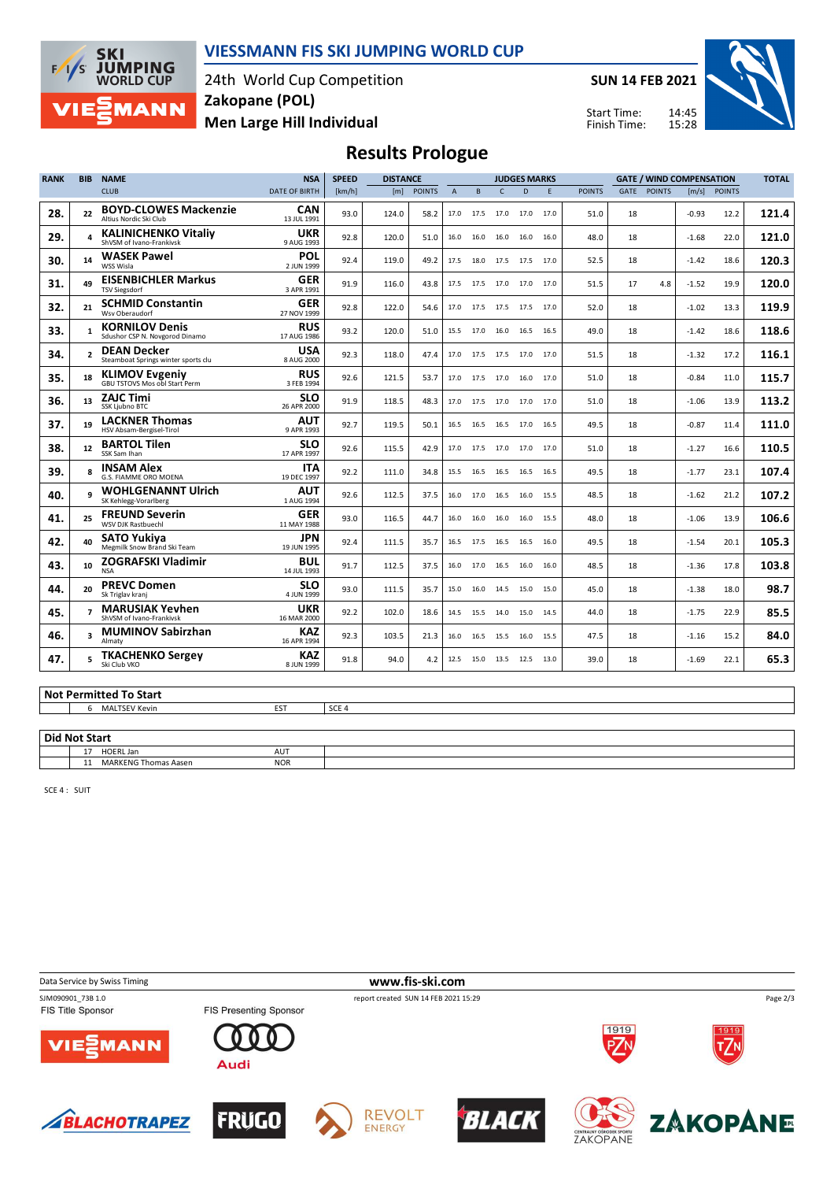

### **VIESSMANN FIS SKI JUMPING WORLD CUP**

24th World Cup Competition **Men Large Hill Individual Zakopane (POL)**

**SUN 14 FEB 2021**

Start Time: Finish Time:



# **Results Prologue**

| <b>RANK</b> | <b>BIB</b>               | <b>NAME</b>                                                   | <b>NSA</b>                | <b>SPEED</b> | <b>DISTANCE</b> |               |                |      |                | <b>JUDGES MARKS</b> |      |               |             | <b>GATE / WIND COMPENSATION</b> |         | <b>TOTAL</b>  |       |
|-------------|--------------------------|---------------------------------------------------------------|---------------------------|--------------|-----------------|---------------|----------------|------|----------------|---------------------|------|---------------|-------------|---------------------------------|---------|---------------|-------|
|             |                          | <b>CLUB</b>                                                   | <b>DATE OF BIRTH</b>      | [km/h]       | [m]             | <b>POINTS</b> | $\overline{A}$ | B    | $\mathsf{C}$   | D                   | E    | <b>POINTS</b> | <b>GATE</b> | <b>POINTS</b>                   | [m/s]   | <b>POINTS</b> |       |
| 28.         | 22                       | <b>BOYD-CLOWES Mackenzie</b><br>Altius Nordic Ski Club        | <b>CAN</b><br>13 JUL 1991 | 93.0         | 124.0           | 58.2          | 17.0           | 17.5 | 17.0           | 17.0                | 17.0 | 51.0          | 18          |                                 | $-0.93$ | 12.2          | 121.4 |
| 29.         |                          | <b>KALINICHENKO Vitaliv</b><br>ShVSM of Ivano-Frankivsk       | <b>UKR</b><br>9 AUG 1993  | 92.8         | 120.0           | 51.0          | 16.0           | 16.0 | 16.0           | 16.0                | 16.0 | 48.0          | 18          |                                 | $-1.68$ | 22.0          | 121.0 |
| 30.         | 14                       | <b>WASEK Pawel</b><br>WSS Wisla                               | <b>POL</b><br>2 JUN 1999  | 92.4         | 119.0           | 49.2          | 17.5           |      | 18.0 17.5 17.5 |                     | 17.0 | 52.5          | 18          |                                 | $-1.42$ | 18.6          | 120.3 |
| 31.         | 49                       | <b>EISENBICHLER Markus</b><br><b>TSV Siegsdorf</b>            | <b>GER</b><br>3 APR 1991  | 91.9         | 116.0           | 43.8          | 17.5           | 17.5 | 17.0           | 17.0                | 17.0 | 51.5          | 17          | 4.8                             | $-1.52$ | 19.9          | 120.0 |
| 32.         | 21                       | <b>SCHMID Constantin</b><br>Wsv Oberaudorf                    | <b>GER</b><br>27 NOV 1999 | 92.8         | 122.0           | 54.6          | 17.0           | 17.5 |                | 17.5 17.5 17.0      |      | 52.0          | 18          |                                 | $-1.02$ | 13.3          | 119.9 |
| 33.         | $\mathbf{1}$             | <b>KORNILOV Denis</b><br>Sdushor CSP N. Novgorod Dinamo       | <b>RUS</b><br>17 AUG 1986 | 93.2         | 120.0           | 51.0          | 15.5           | 17.0 | 16.0           | 16.5                | 16.5 | 49.0          | 18          |                                 | $-1.42$ | 18.6          | 118.6 |
| 34.         | $\overline{\phantom{a}}$ | <b>DEAN Decker</b><br>Steamboat Springs winter sports clu     | <b>USA</b><br>8 AUG 2000  | 92.3         | 118.0           | 47.4          | 17.0           | 17.5 |                | 17.5 17.0 17.0      |      | 51.5          | 18          |                                 | $-1.32$ | 17.2          | 116.1 |
| 35.         | 18                       | <b>KLIMOV Evgeniy</b><br><b>GBU TSTOVS Mos obl Start Perm</b> | <b>RUS</b><br>3 FEB 1994  | 92.6         | 121.5           | 53.7          | 17.0           | 17.5 | 17.0           | 16.0                | 17.0 | 51.0          | 18          |                                 | $-0.84$ | 11.0          | 115.7 |
| 36.         | 13                       | <b>ZAJC Timi</b><br>SSK Ljubno BTC                            | <b>SLO</b><br>26 APR 2000 | 91.9         | 118.5           | 48.3          | 17.0           | 17.5 | 17.0           | 17.0                | 17.0 | 51.0          | 18          |                                 | $-1.06$ | 13.9          | 113.2 |
| 37.         | 19                       | <b>LACKNER Thomas</b><br>HSV Absam-Bergisel-Tirol             | <b>AUT</b><br>9 APR 1993  | 92.7         | 119.5           | 50.1          | 16.5           | 16.5 | 16.5           | 17.0                | 16.5 | 49.5          | 18          |                                 | $-0.87$ | 11.4          | 111.0 |
| 38.         | 12                       | <b>BARTOL Tilen</b><br>SSK Sam Ihan                           | <b>SLO</b><br>17 APR 1997 | 92.6         | 115.5           | 42.9          | 17.0           | 17.5 | 17.0           | 17.0                | 17.0 | 51.0          | 18          |                                 | $-1.27$ | 16.6          | 110.5 |
| 39.         | R                        | <b>INSAM Alex</b><br>G.S. FIAMME ORO MOENA                    | <b>ITA</b><br>19 DEC 1997 | 92.2         | 111.0           | 34.8          | 15.5           | 16.5 | 16.5           | 16.5                | 16.5 | 49.5          | 18          |                                 | $-1.77$ | 23.1          | 107.4 |
| 40.         |                          | <b>WOHLGENANNT Ulrich</b><br>SK Kehlegg-Vorarlberg            | <b>AUT</b><br>1 AUG 1994  | 92.6         | 112.5           | 37.5          | 16.0           | 17.0 | 16.5           | 16.0                | 15.5 | 48.5          | 18          |                                 | $-1.62$ | 21.2          | 107.2 |
| 41.         | 25                       | <b>FREUND Severin</b><br><b>WSV DJK Rastbuechl</b>            | <b>GER</b><br>11 MAY 1988 | 93.0         | 116.5           | 44.7          | 16.0           | 16.0 | 16.0           | 16.0                | 15.5 | 48.0          | 18          |                                 | $-1.06$ | 13.9          | 106.6 |
| 42.         | 40                       | <b>SATO Yukiya</b><br>Megmilk Snow Brand Ski Team             | <b>JPN</b><br>19 JUN 1995 | 92.4         | 111.5           | 35.7          | 16.5           | 17.5 | 16.5           | 16.5                | 16.0 | 49.5          | 18          |                                 | $-1.54$ | 20.1          | 105.3 |
| 43.         | 10 <sup>1</sup>          | <b>ZOGRAFSKI Vladimir</b><br><b>NSA</b>                       | <b>BUL</b><br>14 JUL 1993 | 91.7         | 112.5           | 37.5          | 16.0           | 17.0 | 16.5           | 16.0 16.0           |      | 48.5          | 18          |                                 | $-1.36$ | 17.8          | 103.8 |
| 44.         | 20                       | <b>PREVC Domen</b><br>Sk Triglav kranj                        | <b>SLO</b><br>4 JUN 1999  | 93.0         | 111.5           | 35.7          | 15.0           | 16.0 | 14.5           | 15.0                | 15.0 | 45.0          | 18          |                                 | $-1.38$ | 18.0          | 98.7  |
| 45.         | $\overline{ }$           | <b>MARUSIAK Yevhen</b><br>ShVSM of Ivano-Frankivsk            | <b>UKR</b><br>16 MAR 2000 | 92.2         | 102.0           | 18.6          | 14.5           | 15.5 | 14.0           | 15.0                | 14.5 | 44.0          | 18          |                                 | $-1.75$ | 22.9          | 85.5  |
| 46.         | 3                        | <b>MUMINOV Sabirzhan</b><br>Almaty                            | KAZ<br>16 APR 1994        | 92.3         | 103.5           | 21.3          | 16.0           | 16.5 | 15.5           | 16.0                | 15.5 | 47.5          | 18          |                                 | $-1.16$ | 15.2          | 84.0  |
| 47.         |                          | <b>TKACHENKO Sergey</b><br>Ski Club VKO                       | KAZ<br>8 JUN 1999         | 91.8         | 94.0            | 4.2           | 12.5           |      |                | 15.0 13.5 12.5 13.0 |      | 39.0          | 18          |                                 | $-1.69$ | 22.1          | 65.3  |

#### **Not Permitted To Start**

6 MALTSEV Kevin EST SCE 4

#### **Did Not Start**

| $P1$ and $P2$ and $P3$          |            |  |  |  |  |  |  |  |  |  |  |  |
|---------------------------------|------------|--|--|--|--|--|--|--|--|--|--|--|
| HOERI<br>HOERL Jan<br>.         | AUT        |  |  |  |  |  |  |  |  |  |  |  |
| <b>MARKENG Thomas Aasen</b><br> | <b>NOR</b> |  |  |  |  |  |  |  |  |  |  |  |

SCE 4 : SUIT